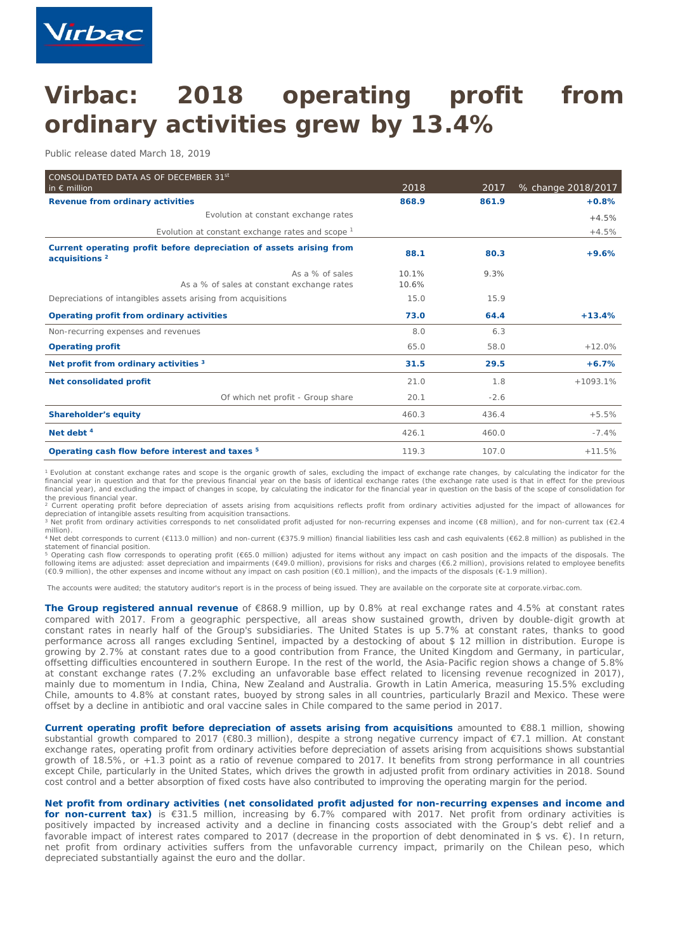

# **Virbac: 2018 operating profit from ordinary activities grew by 13.4%**

*Public release dated March 18, 2019*

| CONSOLIDATED DATA AS OF DECEMBER 31st<br>in $\epsilon$ million                                   | 2018  | 2017   | % change 2018/2017 |
|--------------------------------------------------------------------------------------------------|-------|--------|--------------------|
| Revenue from ordinary activities                                                                 | 868.9 | 861.9  | $+0.8%$            |
| Evolution at constant exchange rates                                                             |       |        | $+4.5%$            |
| Evolution at constant exchange rates and scope $1$                                               |       |        | $+4.5%$            |
| Current operating profit before depreciation of assets arising from<br>acquisitions <sup>2</sup> | 88.1  | 80.3   | $+9.6%$            |
| As a % of sales                                                                                  | 10.1% | 9.3%   |                    |
| As a % of sales at constant exchange rates                                                       | 10.6% |        |                    |
| Depreciations of intangibles assets arising from acquisitions                                    | 15.0  | 15.9   |                    |
| Operating profit from ordinary activities                                                        | 73.0  | 64.4   | $+13.4%$           |
| Non-recurring expenses and revenues                                                              | 8.0   | 6.3    |                    |
| <b>Operating profit</b>                                                                          | 65.0  | 58.0   | $+12.0%$           |
| Net profit from ordinary activities 3                                                            | 31.5  | 29.5   | $+6.7%$            |
| Net consolidated profit                                                                          | 21.0  | 1.8    | $+1093.1%$         |
| Of which net profit - Group share                                                                | 20.1  | $-2.6$ |                    |
| <b>Shareholder's equity</b>                                                                      | 460.3 | 436.4  | $+5.5%$            |
| Net debt $4$                                                                                     | 426.1 | 460.0  | $-7.4%$            |
| Operating cash flow before interest and taxes <sup>5</sup>                                       | 119.3 | 107.0  | $+11.5%$           |

<sup>1</sup> Evolution at constant exchange rates and scope is the organic growth of sales, excluding the impact of exchange rate changes, by calculating the indicator for the financial year in question and that for the previous financial year on the basis of identical exchange rates (the exchange rate used is that in effect for the previous financial year), and excluding the impact of changes in scope, by calculating the indicator for the financial year in question on the basis of the scope of consolidation for the previous financial year.

<sup>2</sup> Current operating profit before depreciation of assets arising from acquisitions reflects profit from ordinary activities adjusted for the impact of allowances for depreciation of intangible assets resulting from acquisition transactions.

<sup>3</sup> Net profit from ordinary activities corresponds to net consolidated profit adjusted for non-recurring expenses and income (€8 million), and for non-current tax (€2.4 million).

.<br>Net debt corresponds to current (€113.0 million) and non-current (€375.9 million) financial liabilities less cash and cash equivalents (€62.8 million) as published in the statement of financial position.

Operating cash flow corresponds to operating profit (€65.0 million) adjusted for items without any impact on cash position and the impacts of the disposals. The following items are adjusted: asset depreciation and impairments (€49.0 million), provisions for risks and charges (€6.2 million), provisions related to employee benefits<br>(€0.9 million), the other expenses and income with

The accounts were audited; the statutory auditor's report is in the process of being issued. They are available on the corporate site at corporate.virbac.com.

**The Group registered annual revenue** of €868.9 million, up by 0.8% at real exchange rates and 4.5% at constant rates compared with 2017. From a geographic perspective, all areas show sustained growth, driven by double-digit growth at constant rates in nearly half of the Group's subsidiaries. The United States is up 5.7% at constant rates, thanks to good performance across all ranges excluding Sentinel, impacted by a destocking of about \$ 12 million in distribution. Europe is growing by 2.7% at constant rates due to a good contribution from France, the United Kingdom and Germany, in particular, offsetting difficulties encountered in southern Europe. In the rest of the world, the Asia-Pacific region shows a change of 5.8% at constant exchange rates (7.2% excluding an unfavorable base effect related to licensing revenue recognized in 2017), mainly due to momentum in India, China, New Zealand and Australia. Growth in Latin America, measuring 15.5% excluding Chile, amounts to 4.8% at constant rates, buoyed by strong sales in all countries, particularly Brazil and Mexico. These were offset by a decline in antibiotic and oral vaccine sales in Chile compared to the same period in 2017.

**Current operating profit before depreciation of assets arising from acquisitions** amounted to €88.1 million, showing substantial growth compared to 2017 (€80.3 million), despite a strong negative currency impact of €7.1 million. At constant exchange rates, operating profit from ordinary activities before depreciation of assets arising from acquisitions shows substantial growth of 18.5%, or +1.3 point as a ratio of revenue compared to 2017. It benefits from strong performance in all countries except Chile, particularly in the United States, which drives the growth in adjusted profit from ordinary activities in 2018. Sound cost control and a better absorption of fixed costs have also contributed to improving the operating margin for the period.

**Net profit from ordinary activities (net consolidated profit adjusted for non-recurring expenses and income and**

**for non-current tax)** is €31.5 million, increasing by 6.7% compared with 2017. Net profit from ordinary activities is positively impacted by increased activity and a decline in financing costs associated with the Group's debt relief and a favorable impact of interest rates compared to 2017 (decrease in the proportion of debt denominated in \$ vs. €). In return, net profit from ordinary activities suffers from the unfavorable currency impact, primarily on the Chilean peso, which depreciated substantially against the euro and the dollar.